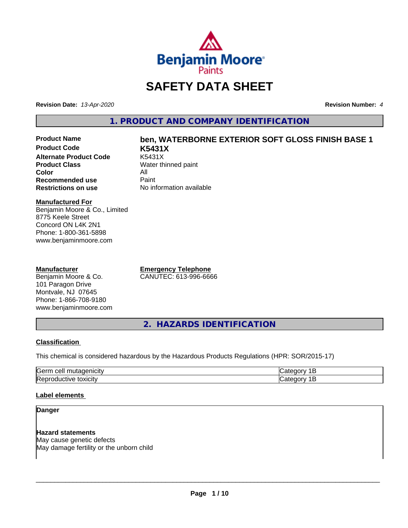

# **SAFETY DATA SHEET**

**Revision Date:** *13-Apr-2020* **Revision Number:** *4*

**1. PRODUCT AND COMPANY IDENTIFICATION**

**Product Code K5431X Alternate Product Code**<br>Product Class **Color** All<br> **Recommended use** Paint **Recommended use**<br>Restrictions on use

# **Product Name ben, WATERBORNE EXTERIOR SOFT GLOSS FINISH BASE 1**

**Water thinned paint No information available** 

#### **Manufactured For**

Benjamin Moore & Co., Limited 8775 Keele Street Concord ON L4K 2N1 Phone: 1-800-361-5898 www.benjaminmoore.com

#### **Manufacturer**

Benjamin Moore & Co. 101 Paragon Drive Montvale, NJ 07645 Phone: 1-866-708-9180 www.benjaminmoore.com **Emergency Telephone** CANUTEC: 613-996-6666

**2. HAZARDS IDENTIFICATION**

#### **Classification**

This chemical is considered hazardous by the Hazardous Products Regulations (HPR: SOR/2015-17)

| $\sim$<br>ras<br>$\cdot$                 |  |
|------------------------------------------|--|
| חו<br>.<br>.<br>IR A'<br><b>JXIUII</b> ™ |  |

#### **Label elements**

#### **Danger**

**Hazard statements** May cause genetic defects May damage fertility or the unborn child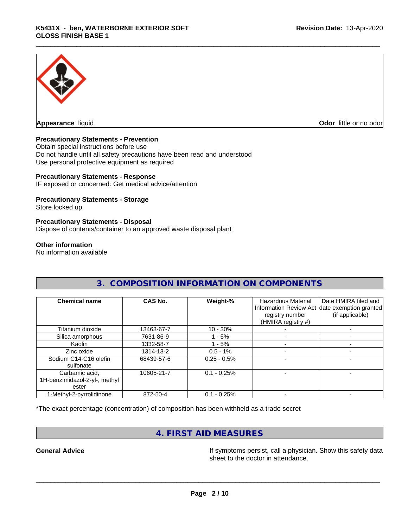

**Appearance** liquid **Odor in the original of the original of the original of the original of the original of the original of the original of the original of the original of the original of the original of the original of t** 

#### **Precautionary Statements - Prevention**

Obtain special instructions before use Do not handle until all safety precautions have been read and understood Use personal protective equipment as required

#### **Precautionary Statements - Response**

IF exposed or concerned: Get medical advice/attention

#### **Precautionary Statements - Storage**

Store locked up

#### **Precautionary Statements - Disposal**

Dispose of contents/container to an approved waste disposal plant

#### **Other information**

No information available

| <b>Chemical name</b>          | CAS No.    | Weight-%      | <b>Hazardous Material</b><br>registry number<br>(HMIRA registry #) | Date HMIRA filed and<br>Information Review Act date exemption granted<br>(if applicable) |
|-------------------------------|------------|---------------|--------------------------------------------------------------------|------------------------------------------------------------------------------------------|
| Titanium dioxide              | 13463-67-7 | $10 - 30%$    |                                                                    |                                                                                          |
| Silica amorphous              | 7631-86-9  | 1 - 5%        |                                                                    |                                                                                          |
| Kaolin                        | 1332-58-7  | - 5%          |                                                                    |                                                                                          |
| Zinc oxide                    | 1314-13-2  | $0.5 - 1%$    |                                                                    |                                                                                          |
| Sodium C14-C16 olefin         | 68439-57-6 | $0.25 - 0.5%$ |                                                                    |                                                                                          |
| sulfonate                     |            |               |                                                                    |                                                                                          |
| Carbamic acid,                | 10605-21-7 | $0.1 - 0.25%$ |                                                                    |                                                                                          |
| 1H-benzimidazol-2-yl-, methyl |            |               |                                                                    |                                                                                          |
| ester                         |            |               |                                                                    |                                                                                          |
| 1-Methyl-2-pyrrolidinone      | 872-50-4   | $0.1 - 0.25%$ |                                                                    |                                                                                          |

**3. COMPOSITION INFORMATION ON COMPONENTS**

\*The exact percentage (concentration) of composition has been withheld as a trade secret

### **4. FIRST AID MEASURES**

**General Advice If** symptoms persist, call a physician. Show this safety data sheet to the doctor in attendance.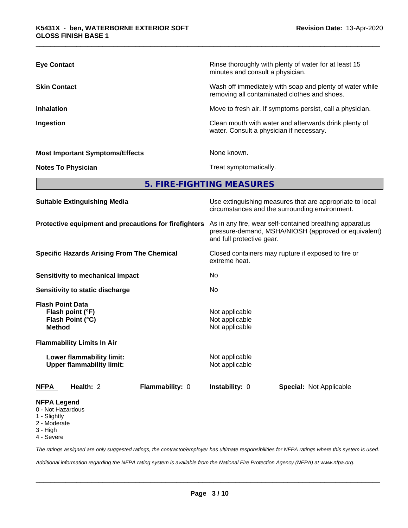| <b>Eye Contact</b>                     | Rinse thoroughly with plenty of water for at least 15<br>minutes and consult a physician.                |
|----------------------------------------|----------------------------------------------------------------------------------------------------------|
| <b>Skin Contact</b>                    | Wash off immediately with soap and plenty of water while<br>removing all contaminated clothes and shoes. |
| <b>Inhalation</b>                      | Move to fresh air. If symptoms persist, call a physician.                                                |
| Ingestion                              | Clean mouth with water and afterwards drink plenty of<br>water. Consult a physician if necessary.        |
| <b>Most Important Symptoms/Effects</b> | None known.                                                                                              |
| <b>Notes To Physician</b>              | Treat symptomatically.                                                                                   |

**5. FIRE-FIGHTING MEASURES**

| <b>Suitable Extinguishing Media</b>                                              | Use extinguishing measures that are appropriate to local<br>circumstances and the surrounding environment.<br>As in any fire, wear self-contained breathing apparatus<br>pressure-demand, MSHA/NIOSH (approved or equivalent)<br>and full protective gear. |  |  |  |
|----------------------------------------------------------------------------------|------------------------------------------------------------------------------------------------------------------------------------------------------------------------------------------------------------------------------------------------------------|--|--|--|
| Protective equipment and precautions for firefighters                            |                                                                                                                                                                                                                                                            |  |  |  |
| <b>Specific Hazards Arising From The Chemical</b>                                | Closed containers may rupture if exposed to fire or<br>extreme heat.                                                                                                                                                                                       |  |  |  |
| <b>Sensitivity to mechanical impact</b>                                          | No<br>No                                                                                                                                                                                                                                                   |  |  |  |
| Sensitivity to static discharge                                                  |                                                                                                                                                                                                                                                            |  |  |  |
| <b>Flash Point Data</b><br>Flash point (°F)<br>Flash Point (°C)<br><b>Method</b> | Not applicable<br>Not applicable<br>Not applicable                                                                                                                                                                                                         |  |  |  |
| <b>Flammability Limits In Air</b>                                                |                                                                                                                                                                                                                                                            |  |  |  |
| Lower flammability limit:<br><b>Upper flammability limit:</b>                    | Not applicable<br>Not applicable                                                                                                                                                                                                                           |  |  |  |
| Flammability: 0<br><b>NFPA</b><br>Health: 2                                      | <b>Instability: 0</b><br><b>Special: Not Applicable</b>                                                                                                                                                                                                    |  |  |  |
| <b>NFPA Legend</b><br>0 - Not Hazardous                                          |                                                                                                                                                                                                                                                            |  |  |  |

- 1 Slightly
- 2 Moderate
- 3 High
- 
- 4 Severe

*The ratings assigned are only suggested ratings, the contractor/employer has ultimate responsibilities for NFPA ratings where this system is used.*

*Additional information regarding the NFPA rating system is available from the National Fire Protection Agency (NFPA) at www.nfpa.org.*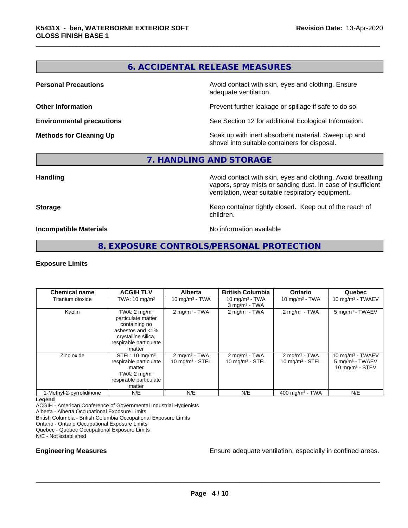### **6. ACCIDENTAL RELEASE MEASURES**

**Personal Precautions Precautions** Avoid contact with skin, eyes and clothing. Ensure adequate ventilation.

**Other Information Other Information Prevent further leakage or spillage if safe to do so.** 

**Environmental precautions** See Section 12 for additional Ecological Information.

**Methods for Cleaning Up Soak** up with inert absorbent material. Sweep up and shovel into suitable containers for disposal.

#### **7. HANDLING AND STORAGE**

**Handling Handling Avoid contact with skin, eyes and clothing. Avoid breathing** vapors, spray mists or sanding dust. In case of insufficient ventilation, wear suitable respiratory equipment.

**Storage Keep container tightly closed. Keep out of the reach of Keep** container tightly closed. Keep out of the reach of children.

**Incompatible Materials** Noinformation available

#### **8. EXPOSURE CONTROLS/PERSONAL PROTECTION**

#### **Exposure Limits**

| <b>Chemical name</b>     | <b>ACGIH TLV</b>                                                                                                                              | <b>Alberta</b>                                | <b>British Columbia</b>                          | <b>Ontario</b>                                        | Quebec                                                                 |
|--------------------------|-----------------------------------------------------------------------------------------------------------------------------------------------|-----------------------------------------------|--------------------------------------------------|-------------------------------------------------------|------------------------------------------------------------------------|
| Titanium dioxide         | TWA: $10 \text{ mg/m}^3$                                                                                                                      | 10 mg/m $3 - TWA$                             | 10 mg/m $3$ - TWA<br>$3$ mg/m <sup>3</sup> - TWA | 10 mg/m $3$ - TWA                                     | 10 mg/m $3$ - TWAEV                                                    |
| Kaolin                   | TWA: $2 \text{ mg/m}^3$<br>particulate matter<br>containing no<br>asbestos and <1%<br>crystalline silica,<br>respirable particulate<br>matter | $2$ mg/m <sup>3</sup> - TWA                   | $2$ mg/m <sup>3</sup> - TWA                      | $2 \text{mq/m}^3$ - TWA                               | 5 mg/m <sup>3</sup> - TWAEV                                            |
| Zinc oxide               | STEL: $10 \text{ mg/m}^3$<br>respirable particulate<br>matter<br>TWA: $2 \text{ mg/m}^3$<br>respirable particulate<br>matter                  | $2 \text{ mg/m}^3$ - TWA<br>10 $mq/m3$ - STEL | $2 \text{ mg/m}^3$ - TWA<br>10 mg/m $3 -$ STEL   | $2 \text{mq/m}^3$ - TWA<br>$10 \text{ mg/m}^3$ - STEL | 10 mg/m $3$ - TWAEV<br>$5 \text{ mg/m}^3$ - TWAEV<br>10 $mq/m3$ - STEV |
| 1-Methyl-2-pyrrolidinone | N/E                                                                                                                                           | N/E                                           | N/E                                              | 400 mg/m <sup>3</sup> - TWA                           | N/E                                                                    |

#### **Legend**

ACGIH - American Conference of Governmental Industrial Hygienists

Alberta - Alberta Occupational Exposure Limits

British Columbia - British Columbia Occupational Exposure Limits

Ontario - Ontario Occupational Exposure Limits

Quebec - Quebec Occupational Exposure Limits

N/E - Not established

**Engineering Measures Ensure adequate ventilation, especially in confined areas.**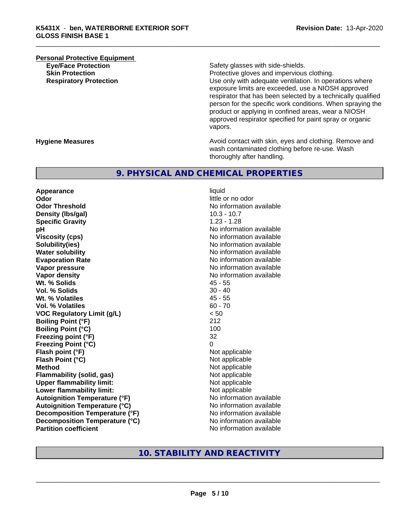## **Personal Protective Equipment**<br> **Eve/Face Protection Eye/Face Protection**<br> **Safety glasses with side-shields.**<br> **Skin Protection**<br> **Skin Protection**

Protective gloves and impervious clothing. **Respiratory Protection Number 1** (Use only with adequate ventilation. In operations where exposure limits are exceeded, use a NIOSH approved respirator that has been selected by a technically qualified person for the specific work conditions. When spraying the product or applying in confined areas, wear a NIOSH approved respirator specified for paint spray or organic vapors.

**Hygiene Measures Avoid contact with skin, eyes and clothing. Remove and Avoid contact with skin, eyes and clothing. Remove and Avoid contact with skin, eyes and clothing. Remove and** wash contaminated clothing before re-use. Wash thoroughly after handling.

#### **9. PHYSICAL AND CHEMICAL PROPERTIES**

**Appearance** liquid **Odor** little or no odor **Odor Threshold** No information available **Density (lbs/gal)** 10.3 - 10.7 **Specific Gravity** 1.23 - 1.28 **pH pH**  $\blacksquare$ **Viscosity (cps)** No information available **Solubility(ies)** No information available **Water solubility** No information available **Evaporation Rate No information available No information available Vapor pressure** No information available **No information available Vapor density**<br> **We Solids**<br>
We Solids
2019 Wt. % Solids **Vol. % Solids** 30 - 40 **Wt. % Volatiles** 45 - 55 **Vol. % Volatiles VOC Regulatory Limit (g/L)** < 50 **Boiling Point (°F)** 212 **Boiling Point (°C)** 100 **Freezing point (°F)** 32 **Freezing Point (°C)** 0 **Flash point (°F)**<br> **Flash Point (°C)**<br> **Flash Point (°C)**<br> **C Flash Point (°C) Method** Not applicable **Flammability (solid, gas)**<br> **Commability limit:**<br>
Upper flammability limit:<br>
Not applicable **Upper flammability limit:**<br> **Lower flammability limit:** Not applicable Not applicable **Lower flammability limit: Autoignition Temperature (°F)** No information available **Autoignition Temperature (°C)** No information available **Decomposition Temperature (°F)** No information available **Decomposition Temperature (°C)**<br> **Partition coefficient**<br> **Partition coefficient**<br> **No** information available

**No information available** 

#### **10. STABILITY AND REACTIVITY**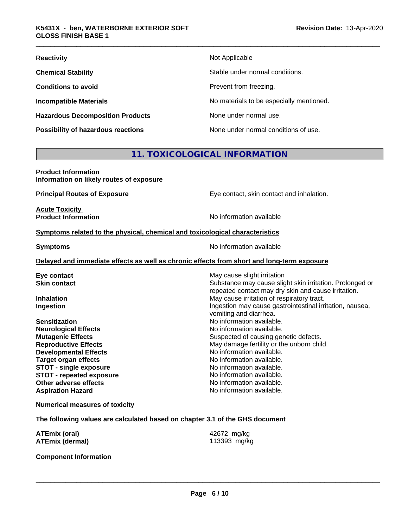| <b>Reactivity</b>                         | Not Applicable                           |
|-------------------------------------------|------------------------------------------|
| <b>Chemical Stability</b>                 | Stable under normal conditions.          |
| <b>Conditions to avoid</b>                | Prevent from freezing.                   |
| <b>Incompatible Materials</b>             | No materials to be especially mentioned. |
| <b>Hazardous Decomposition Products</b>   | None under normal use.                   |
| <b>Possibility of hazardous reactions</b> | None under normal conditions of use.     |

### **11. TOXICOLOGICAL INFORMATION**

| <b>Product Information</b>               |  |
|------------------------------------------|--|
| Information on likely routes of exposure |  |

**Principal Routes of Exposure Exposure** Eye contact, skin contact and inhalation.

**Acute Toxicity Product Information** 

#### **Symptoms** related to the physical, chemical and toxicological characteristics

**Symptoms** No information available

#### **Delayed and immediate effects as well as chronic effects from short and long-term exposure**

| Eye contact                     | May cause slight irritation                                                                                     |
|---------------------------------|-----------------------------------------------------------------------------------------------------------------|
| <b>Skin contact</b>             | Substance may cause slight skin irritation. Prolonged or<br>repeated contact may dry skin and cause irritation. |
| <b>Inhalation</b>               | May cause irritation of respiratory tract.                                                                      |
| Ingestion                       | Ingestion may cause gastrointestinal irritation, nausea,<br>vomiting and diarrhea.                              |
| <b>Sensitization</b>            | No information available.                                                                                       |
| <b>Neurological Effects</b>     | No information available.                                                                                       |
| <b>Mutagenic Effects</b>        | Suspected of causing genetic defects.                                                                           |
| <b>Reproductive Effects</b>     | May damage fertility or the unborn child.                                                                       |
| <b>Developmental Effects</b>    | No information available.                                                                                       |
| <b>Target organ effects</b>     | No information available.                                                                                       |
| <b>STOT - single exposure</b>   | No information available.                                                                                       |
| <b>STOT - repeated exposure</b> | No information available.                                                                                       |
| Other adverse effects           | No information available.                                                                                       |
| <b>Aspiration Hazard</b>        | No information available.                                                                                       |
|                                 |                                                                                                                 |

#### **Numerical measures of toxicity**

**The following values are calculated based on chapter 3.1 of the GHS document**

| <b>ATEmix (oral)</b>   | 42672 mg/kg  |
|------------------------|--------------|
| <b>ATEmix (dermal)</b> | 113393 mg/kg |

#### **Component Information**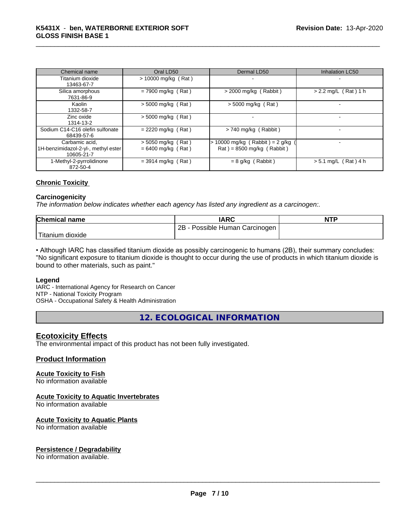| Chemical name                                                       | Oral LD50                                    | Dermal LD50                                                                          | <b>Inhalation LC50</b> |
|---------------------------------------------------------------------|----------------------------------------------|--------------------------------------------------------------------------------------|------------------------|
| Titanium dioxide<br>13463-67-7                                      | $> 10000$ mg/kg (Rat)                        |                                                                                      |                        |
| Silica amorphous<br>7631-86-9                                       | $= 7900$ mg/kg (Rat)                         | $>$ 2000 mg/kg (Rabbit)                                                              | $> 2.2$ mg/L (Rat) 1 h |
| Kaolin<br>1332-58-7                                                 | $> 5000$ mg/kg (Rat)                         | $>$ 5000 mg/kg (Rat)                                                                 |                        |
| Zinc oxide<br>1314-13-2                                             | $>$ 5000 mg/kg (Rat)                         |                                                                                      |                        |
| Sodium C14-C16 olefin sulfonate<br>68439-57-6                       | $= 2220$ mg/kg (Rat)                         | > 740 mg/kg (Rabbit)                                                                 |                        |
| Carbamic acid.<br>1H-benzimidazol-2-yl-, methyl ester<br>10605-21-7 | $> 5050$ mg/kg (Rat)<br>$= 6400$ mg/kg (Rat) | $> 10000$ mg/kg (Rabbit) = 2 g/kg<br>$\text{Rat}$ ) = 8500 mg/kg ( $\text{Rabbit}$ ) |                        |
| 1-Methyl-2-pyrrolidinone<br>872-50-4                                | $= 3914$ mg/kg (Rat)                         | $= 8$ g/kg (Rabbit)                                                                  | $> 5.1$ mg/L (Rat) 4 h |

#### **Chronic Toxicity**

#### **Carcinogenicity**

*The information below indicateswhether each agency has listed any ingredient as a carcinogen:.*

| <b>Chemical name</b>    | <b>IARC</b>                     | <b>NTP</b> |
|-------------------------|---------------------------------|------------|
|                         | 2B<br>Possible Human Carcinogen |            |
| Titanium 、<br>ı dioxide |                                 |            |

• Although IARC has classified titanium dioxide as possibly carcinogenic to humans (2B), their summary concludes: "No significant exposure to titanium dioxide is thought to occur during the use of products in which titanium dioxide is bound to other materials, such as paint."

#### **Legend**

IARC - International Agency for Research on Cancer NTP - National Toxicity Program

OSHA - Occupational Safety & Health Administration

**12. ECOLOGICAL INFORMATION**

#### **Ecotoxicity Effects**

The environmental impact of this product has not been fully investigated.

#### **Product Information**

#### **Acute Toxicity to Fish**

No information available

#### **Acute Toxicity to Aquatic Invertebrates**

No information available

#### **Acute Toxicity to Aquatic Plants**

No information available

#### **Persistence / Degradability**

No information available.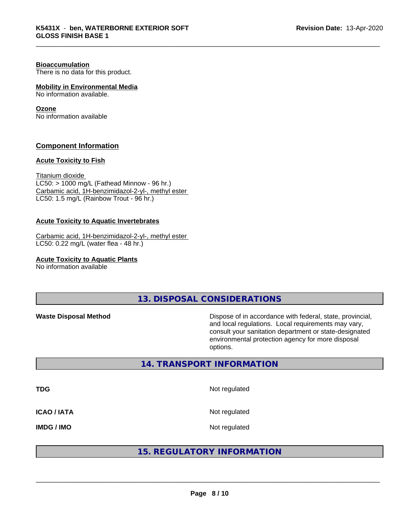#### **Bioaccumulation**

There is no data for this product.

#### **Mobility in Environmental Media**

No information available.

#### **Ozone**

No information available

#### **Component Information**

#### **Acute Toxicity to Fish**

Titanium dioxide  $LC50:$  > 1000 mg/L (Fathead Minnow - 96 hr.) Carbamic acid, 1H-benzimidazol-2-yl-, methyl ester LC50: 1.5 mg/L (Rainbow Trout - 96 hr.)

#### **Acute Toxicity to Aquatic Invertebrates**

Carbamic acid, 1H-benzimidazol-2-yl-, methyl ester LC50: 0.22 mg/L (water flea - 48 hr.)

**Acute Toxicity to Aquatic Plants**

No information available

**13. DISPOSAL CONSIDERATIONS**

**Waste Disposal Method Dispose of in accordance with federal, state, provincial,** and local regulations. Local requirements may vary, consult your sanitation department or state-designated environmental protection agency for more disposal options.

#### **14. TRANSPORT INFORMATION**

**TDG** Not regulated **ICAO / IATA** Not regulated

**IMDG / IMO** Not regulated

#### **15. REGULATORY INFORMATION**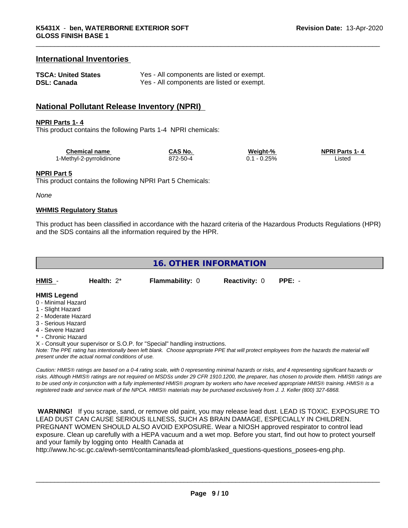#### **International Inventories**

| <b>TSCA: United States</b> | Yes - All components are listed or exempt. |
|----------------------------|--------------------------------------------|
| <b>DSL: Canada</b>         | Yes - All components are listed or exempt. |

#### **National Pollutant Release Inventory (NPRI)**

#### **NPRI Parts 1- 4**

This product contains the following Parts 1-4 NPRI chemicals:

| <b>Chemical name</b>     | <b>CAS No.</b> | Weight-% | <b>NPRI Parts 1-4</b> |
|--------------------------|----------------|----------|-----------------------|
| 1-Methyl-2-pyrrolidinone | . 2-50-4       | 25%      | .istec                |

#### **NPRI Part 5**

This product contains the following NPRI Part 5 Chemicals:

*None*

#### **WHMIS Regulatory Status**

This product has been classified in accordance with the hazard criteria of the Hazardous Products Regulations (HPR) and the SDS contains all the information required by the HPR.

| 16. OTHER INFORMATION |               |                        |                             |  |  |  |
|-----------------------|---------------|------------------------|-----------------------------|--|--|--|
| <b>HMIS</b>           | Health: $2^*$ | <b>Flammability: 0</b> | <b>Reactivity: 0 PPE: -</b> |  |  |  |
| -------               |               |                        |                             |  |  |  |

#### **HMIS Legend**

- 0 Minimal Hazard
- 1 Slight Hazard
- 2 Moderate Hazard
- 3 Serious Hazard
- 4 Severe Hazard
- \* Chronic Hazard

X - Consult your supervisor or S.O.P. for "Special" handling instructions.

*Note: The PPE rating has intentionally been left blank. Choose appropriate PPE that will protect employees from the hazards the material will present under the actual normal conditions of use.*

*Caution: HMISÒ ratings are based on a 0-4 rating scale, with 0 representing minimal hazards or risks, and 4 representing significant hazards or risks. Although HMISÒ ratings are not required on MSDSs under 29 CFR 1910.1200, the preparer, has chosen to provide them. HMISÒ ratings are to be used only in conjunction with a fully implemented HMISÒ program by workers who have received appropriate HMISÒ training. HMISÒ is a registered trade and service mark of the NPCA. HMISÒ materials may be purchased exclusively from J. J. Keller (800) 327-6868.*

 **WARNING!** If you scrape, sand, or remove old paint, you may release lead dust. LEAD IS TOXIC. EXPOSURE TO LEAD DUST CAN CAUSE SERIOUS ILLNESS, SUCH AS BRAIN DAMAGE, ESPECIALLY IN CHILDREN. PREGNANT WOMEN SHOULD ALSO AVOID EXPOSURE.Wear a NIOSH approved respirator to control lead exposure. Clean up carefully with a HEPA vacuum and a wet mop. Before you start, find out how to protect yourself and your family by logging onto Health Canada at

http://www.hc-sc.gc.ca/ewh-semt/contaminants/lead-plomb/asked\_questions-questions\_posees-eng.php.